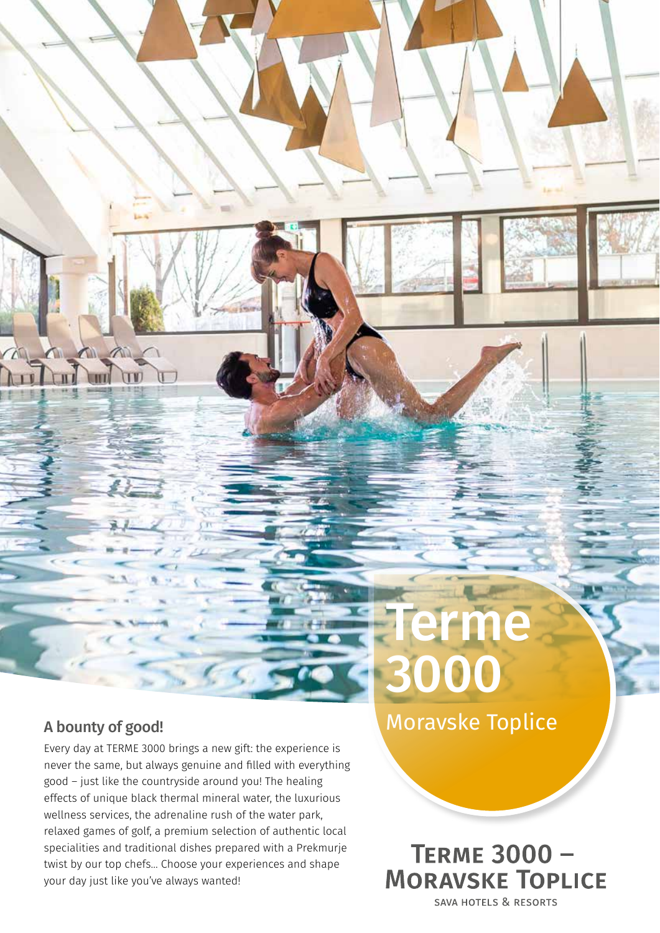### A bounty of good!

a a

Every day at TERME 3000 brings a new gift: the experience is never the same, but always genuine and filled with everything good – just like the countryside around you! The healing effects of unique black thermal mineral water, the luxurious wellness services, the adrenaline rush of the water park, relaxed games of golf, a premium selection of authentic local specialities and traditional dishes prepared with a Prekmurje twist by our top chefs… Choose your experiences and shape your day just like you've always wanted!

Moravske Toplice

**Terme** 

3000

**TERME 3000 -MORAVSKE TOPLICE SAVA HOTELS & RESORTS**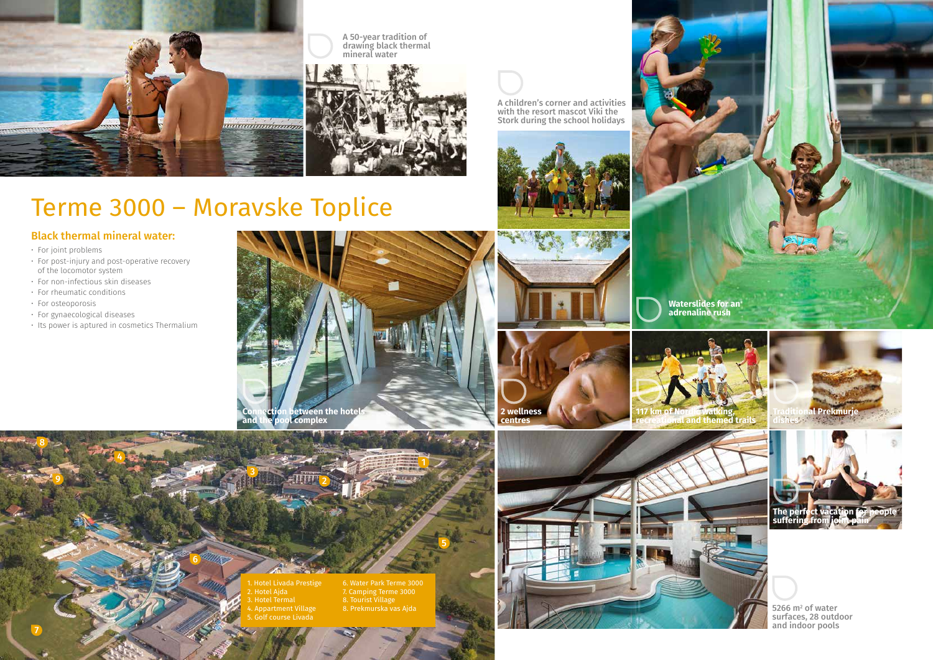6

3

2

 $-11111$ 

1

5

4

8

<u>9</u>

A children's corner and activities with the resort mascot Viki the Stork during the school holidays





A 50-year tradition of drawing black thermal mineral water



## Black thermal mineral water:

- For joint problems
- For post-injury and post-operative recovery of the locomotor system
- For non-infectious skin diseases
- For rheumatic conditions
- For osteoporosis
- For gynaecological diseases
- Its power is aptured in cosmetics Thermalium

5266  $m^2$  of water surfaces, 28 outdoor and indoor pools

# Terme 3000 – Moravske Toplice











1. Hotel Livada Prestige 2. Hotel Ajda 4. Appartment Village 5. Golf course Livada

6. Water Park Terme 3000 7. Camping Terme 3000 8. Tourist Village 8. Prekmurska vas Ajda